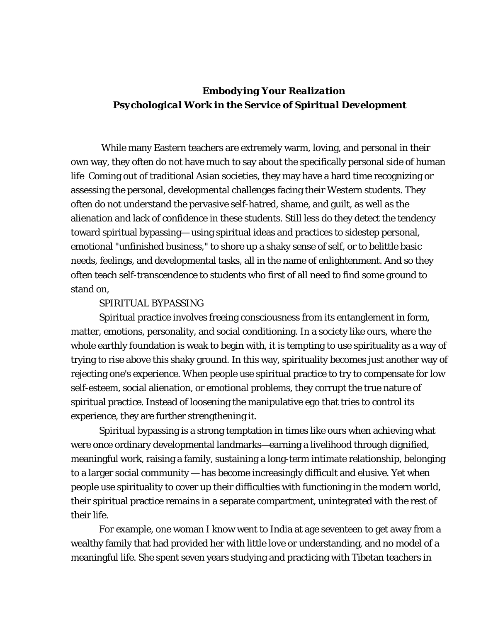# *Embodying Your Realization Psychological Work in the Service of Spiritual Development*

 While many Eastern teachers are extremely warm, loving, and personal in their own way, they often do not have much to say about the specifically personal side of human life Coming out of traditional Asian societies, they may have a hard time recognizing or assessing the personal, developmental challenges facing their Western students. They often do not understand the pervasive self-hatred, shame, and guilt, as well as the alienation and lack of confidence in these students. Still less do they detect the tendency toward spiritual bypassing— using spiritual ideas and practices to sidestep personal, emotional "unfinished business," to shore up a shaky sense of self, or to belittle basic needs, feelings, and developmental tasks, all in the name of enlightenment. And so they often teach self-transcendence to students who first of all need to find some ground to stand on,

### SPIRITUAL BYPASSING

Spiritual practice involves freeing consciousness from its entanglement in form, matter, emotions, personality, and social conditioning. In a society like ours, where the whole earthly foundation is weak to begin with, it is tempting to use spirituality as a way of trying to rise above this shaky ground. In this way, spirituality becomes just another way of rejecting one's experience. When people use spiritual practice to try to compensate for low self-esteem, social alienation, or emotional problems, they corrupt the true nature of spiritual practice. Instead of loosening the manipulative ego that tries to control its experience, they are further strengthening it.

Spiritual bypassing is a strong temptation in times like ours when achieving what were once ordinary developmental landmarks—earning a livelihood through dignified, meaningful work, raising a family, sustaining a long-term intimate relationship, belonging to a larger social community — has become increasingly difficult and elusive. Yet when people use spirituality to cover up their difficulties with functioning in the modern world, their spiritual practice remains in a separate compartment, unintegrated with the rest of their life.

For example, one woman I know went to India at age seventeen to get away from a wealthy family that had provided her with little love or understanding, and no model of a meaningful life. She spent seven years studying and practicing with Tibetan teachers in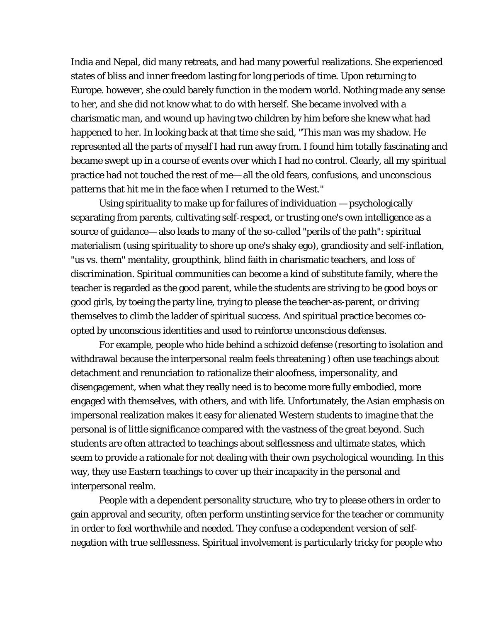India and Nepal, did many retreats, and had many powerful realizations. She experienced states of bliss and inner freedom lasting for long periods of time. Upon returning to Europe. however, she could barely function in the modern world. Nothing made any sense to her, and she did not know what to do with herself. She became involved with a charismatic man, and wound up having two children by him before she knew what had happened to her. In looking back at that time she said, "This man was my shadow. He represented all the parts of myself I had run away from. I found him totally fascinating and became swept up in a course of events over which I had no control. Clearly, all my spiritual practice had not touched the rest of me— all the old fears, confusions, and unconscious patterns that hit me in the face when I returned to the West."

Using spirituality to make up for failures of individuation — psychologically separating from parents, cultivating self-respect, or trusting one's own intelligence as a source of guidance— also leads to many of the so-called "perils of the path": spiritual materialism (using spirituality to shore up one's shaky ego), grandiosity and self-inflation, "us vs. them" mentality, groupthink, blind faith in charismatic teachers, and loss of discrimination. Spiritual communities can become a kind of substitute family, where the teacher is regarded as the good parent, while the students are striving to be good boys or good girls, by toeing the party line, trying to please the teacher-as-parent, or driving themselves to climb the ladder of spiritual success. And spiritual practice becomes coopted by unconscious identities and used to reinforce unconscious defenses.

For example, people who hide behind a schizoid defense (resorting to isolation and withdrawal because the interpersonal realm feels threatening ) often use teachings about detachment and renunciation to rationalize their aloofness, impersonality, and disengagement, when what they really need is to become more fully embodied, more engaged with themselves, with others, and with life. Unfortunately, the Asian emphasis on impersonal realization makes it easy for alienated Western students to imagine that the personal is of little significance compared with the vastness of the great beyond. Such students are often attracted to teachings about selflessness and ultimate states, which seem to provide a rationale for not dealing with their own psychological wounding. In this way, they use Eastern teachings to cover up their incapacity in the personal and interpersonal realm.

People with a dependent personality structure, who try to please others in order to gain approval and security, often perform unstinting service for the teacher or community in order to feel worthwhile and needed. They confuse a codependent version of selfnegation with true selflessness. Spiritual involvement is particularly tricky for people who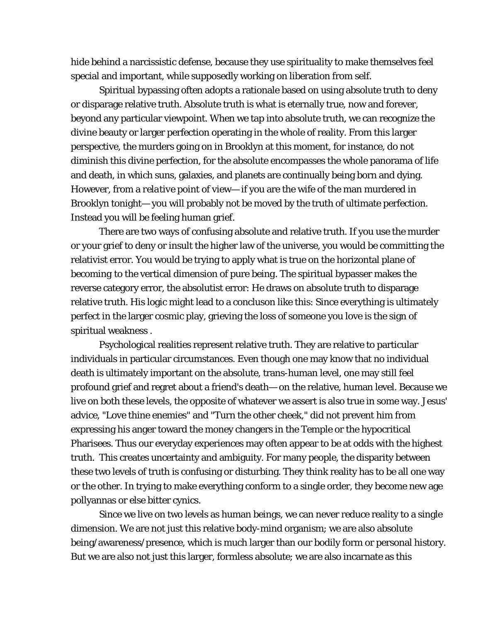hide behind a narcissistic defense, because they use spirituality to make themselves feel special and important, while supposedly working on liberation from self.

Spiritual bypassing often adopts a rationale based on using absolute truth to deny or disparage relative truth. Absolute truth is what is eternally true, now and forever, beyond any particular viewpoint. When we tap into absolute truth, we can recognize the divine beauty or larger perfection operating in the whole of reality. From this larger perspective, the murders going on in Brooklyn at this moment, for instance, do not diminish this divine perfection, for the absolute encompasses the whole panorama of life and death, in which suns, galaxies, and planets are continually being born and dying. However, from a *relative* point of view— if you are the wife of the man murdered in Brooklyn tonight— you will probably not be moved by the truth of ultimate perfection. Instead you will be feeling human grief.

There are two ways of confusing absolute and relative truth. If you use the murder or your grief to deny or insult the higher law of the universe, you would be committing the relativist error. You would be trying to apply what is true on the horizontal plane of *becoming* to the vertical dimension of pure *being*. The spiritual bypasser makes the reverse category error, the absolutist error: He draws on absolute truth to disparage relative truth. His logic might lead to a concluson like this: Since everything is ultimately perfect in the larger cosmic play, grieving the loss of someone you love is the sign of spiritual weakness .

Psychological realities represent relative truth. They are relative to particular individuals in particular circumstances. Even though one may know that no individual death is ultimately important on the absolute, trans-human level, one may still feel profound grief and regret about a friend's death— on the relative, human level. Because we live on both these levels, the opposite of whatever we assert is also true in some way. Jesus' advice, "Love thine enemies" and "Turn the other cheek," did not prevent him from expressing his anger toward the money changers in the Temple or the hypocritical Pharisees. Thus our everyday experiences may often appear to be at odds with the highest truth. This creates uncertainty and ambiguity. For many people, the disparity between these two levels of truth is confusing or disturbing. They think reality has to be all one way or the other. In trying to make everything conform to a single order, they become new age pollyannas or else bitter cynics.

Since we live on two levels as human beings, we can never reduce reality to a single dimension. We are not just this relative body-mind organism; we are also absolute being/awareness/presence, which is much larger than our bodily form or personal history. But we are also not *just* this larger, formless absolute; we are also incarnate as this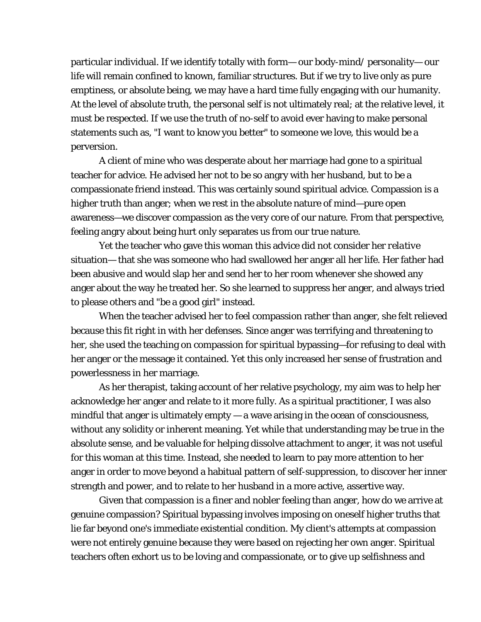particular individual. If we identify totally with form— our body-mind/ personality— our life will remain confined to known, familiar structures. But if we try to live only as pure emptiness, or absolute being, we may have a hard time fully engaging with our humanity. At the level of absolute truth, the personal self is not ultimately real; at the relative level, it must be respected. If we use the truth of no-self to avoid ever having to make personal statements such as, "I want to know you better" to someone we love, this would be a perversion.

A client of mine who was desperate about her marriage had gone to a spiritual teacher for advice. He advised her not to be so angry with her husband, but to be a compassionate friend instead. This was certainly sound spiritual advice. Compassion is a higher truth than anger; when we rest in the absolute nature of mind—pure open awareness—we discover compassion as the very core of our nature. From that perspective, feeling angry about being hurt only separates us from our true nature.

Yet the teacher who gave this woman this advice did not consider her *relative* situation— that she was someone who had swallowed her anger all her life. Her father had been abusive and would slap her and send her to her room whenever she showed any anger about the way he treated her. So she learned to suppress her anger, and always tried to please others and "be a good girl" instead.

When the teacher advised her to feel compassion rather than anger, she felt relieved because this fit right in with her defenses. Since anger was terrifying and threatening to her, she used the teaching on compassion for spiritual bypassing—for refusing to deal with her anger or the message it contained. Yet this only increased her sense of frustration and powerlessness in her marriage.

As her therapist, taking account of her relative psychology, my aim was to help her acknowledge her anger and relate to it more fully. As a spiritual practitioner, I was also mindful that anger is ultimately empty — a wave arising in the ocean of consciousness, without any solidity or inherent meaning. Yet while that understanding may be true in the absolute sense, and be valuable for helping dissolve attachment to anger, it was not useful for this woman at this time. Instead, she needed to learn to pay more attention to her anger in order to move beyond a habitual pattern of self-suppression, to discover her inner strength and power, and to relate to her husband in a more active, assertive way.

Given that compassion is a finer and nobler feeling than anger, how do we arrive at genuine compassion? Spiritual bypassing involves imposing on oneself higher truths that lie far beyond one's immediate existential condition. My client's attempts at compassion were not entirely genuine because they were based on rejecting her own anger. Spiritual teachers often exhort us to be loving and compassionate, or to give up selfishness and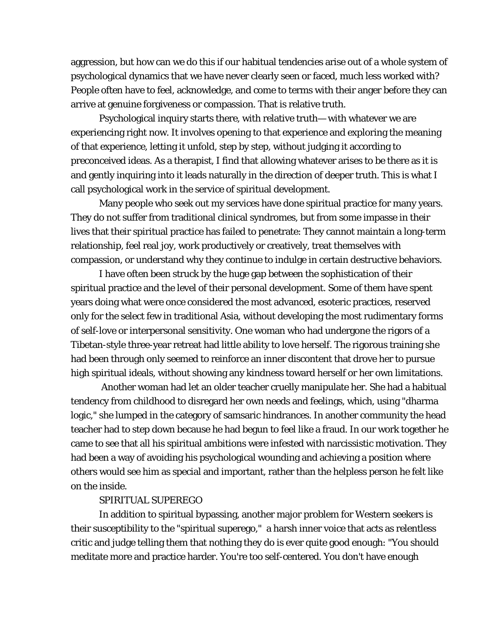aggression, but how can we do this if our habitual tendencies arise out of a whole system of psychological dynamics that we have never clearly seen or faced, much less worked with? People often have to feel, acknowledge, and come to terms with their anger before they can arrive at genuine forgiveness or compassion. That is relative truth.

Psychological inquiry starts there, with relative truth— with whatever we are experiencing right now. It involves opening to that experience and exploring the meaning of that experience, letting it unfold, step by step, without judging it according to preconceived ideas. As a therapist, I find that allowing whatever arises to be there as it is and gently inquiring into it leads naturally in the direction of deeper truth. This is what I call psychological work in the service of spiritual development.

Many people who seek out my services have done spiritual practice for many years. They do not suffer from traditional clinical syndromes, but from some impasse in their lives that their spiritual practice has failed to penetrate: They cannot maintain a long-term relationship, feel real joy, work productively or creatively, treat themselves with compassion, or understand why they continue to indulge in certain destructive behaviors.

I have often been struck by the huge gap between the sophistication of their spiritual practice and the level of their personal development. Some of them have spent years doing what were once considered the most advanced, esoteric practices, reserved only for the select few in traditional Asia, without developing the most rudimentary forms of self-love or interpersonal sensitivity. One woman who had undergone the rigors of a Tibetan-style three-year retreat had little ability to love herself. The rigorous training she had been through only seemed to reinforce an inner discontent that drove her to pursue high spiritual ideals, without showing any kindness toward herself or her own limitations.

 Another woman had let an older teacher cruelly manipulate her. She had a habitual tendency from childhood to disregard her own needs and feelings, which, using "dharma logic," she lumped in the category of samsaric hindrances. In another community the head teacher had to step down because he had begun to feel like a fraud. In our work together he came to see that all his spiritual ambitions were infested with narcissistic motivation. They had been a way of avoiding his psychological wounding and achieving a position where others would see him as special and important, rather than the helpless person he felt like on the inside.

### SPIRITUAL SUPEREGO

In addition to spiritual bypassing, another major problem for Western seekers is their susceptibility to the "spiritual superego," a harsh inner voice that acts as relentless critic and judge telling them that nothing they do is ever quite good enough: "You should meditate more and practice harder. You're too self-centered. You don't have enough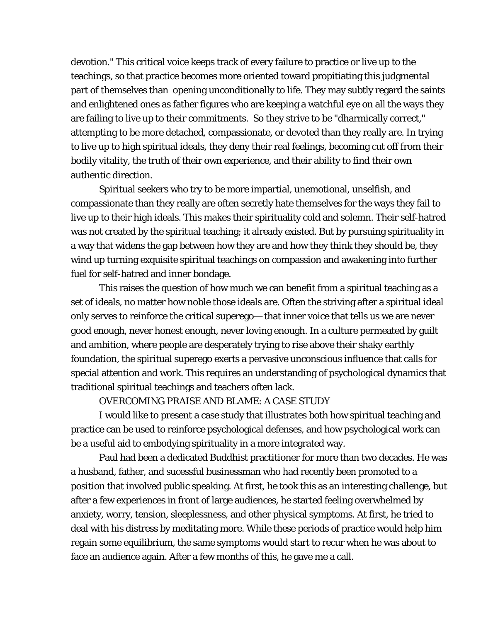devotion." This critical voice keeps track of every failure to practice or live up to the teachings, so that practice becomes more oriented toward propitiating this judgmental part of themselves than opening unconditionally to life. They may subtly regard the saints and enlightened ones as father figures who are keeping a watchful eye on all the ways they are failing to live up to their commitments. So they strive to be "dharmically correct," attempting to be more detached, compassionate, or devoted than they really are. In trying to live up to high spiritual ideals, they deny their real feelings, becoming cut off from their bodily vitality, the truth of their own experience, and their ability to find their own authentic direction.

Spiritual seekers who try to be more impartial, unemotional, unselfish, and compassionate than they really are often secretly hate themselves for the ways they fail to live up to their high ideals. This makes their spirituality cold and solemn. Their self-hatred was not created by the spiritual teaching; it already existed. But by pursuing spirituality in a way that widens the gap between how they are and how they think they should be, they wind up turning exquisite spiritual teachings on compassion and awakening into further fuel for self-hatred and inner bondage.

This raises the question of how much we can benefit from a spiritual teaching as a set of ideals, no matter how noble those ideals are. Often the striving after a spiritual ideal only serves to reinforce the critical superego— that inner voice that tells us we are never good enough, never honest enough, never loving enough. In a culture permeated by guilt and ambition, where people are desperately trying to rise above their shaky earthly foundation, the spiritual superego exerts a pervasive unconscious influence that calls for special attention and work. This requires an understanding of psychological dynamics that traditional spiritual teachings and teachers often lack.

## OVERCOMING PRAISE AND BLAME: A CASE STUDY

I would like to present a case study that illustrates both how spiritual teaching and practice can be used to reinforce psychological defenses, and how psychological work can be a useful aid to embodying spirituality in a more integrated way.

Paul had been a dedicated Buddhist practitioner for more than two decades. He was a husband, father, and sucessful businessman who had recently been promoted to a position that involved public speaking. At first, he took this as an interesting challenge, but after a few experiences in front of large audiences, he started feeling overwhelmed by anxiety, worry, tension, sleeplessness, and other physical symptoms. At first, he tried to deal with his distress by meditating more. While these periods of practice would help him regain some equilibrium, the same symptoms would start to recur when he was about to face an audience again. After a few months of this, he gave me a call.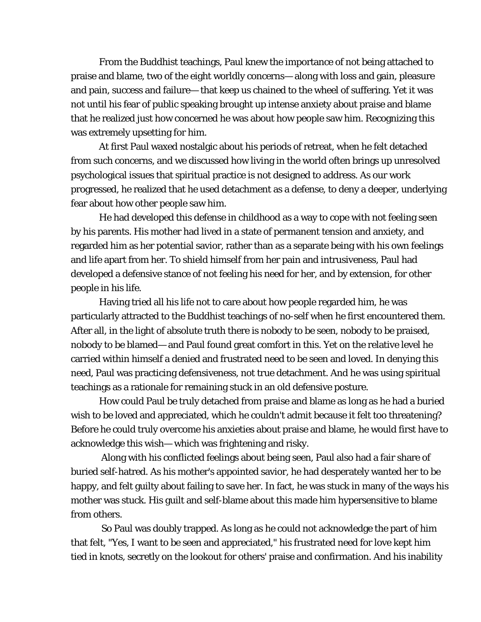From the Buddhist teachings, Paul knew the importance of not being attached to praise and blame, two of the eight worldly concerns— along with loss and gain, pleasure and pain, success and failure— that keep us chained to the wheel of suffering. Yet it was not until his fear of public speaking brought up intense anxiety about praise and blame that he realized just how concerned he was about how people saw him. Recognizing this was extremely upsetting for him.

At first Paul waxed nostalgic about his periods of retreat, when he felt detached from such concerns, and we discussed how living in the world often brings up unresolved psychological issues that spiritual practice is not designed to address. As our work progressed, he realized that he used detachment as a defense, to deny a deeper, underlying fear about how other people saw him.

He had developed this defense in childhood as a way to cope with not feeling seen by his parents. His mother had lived in a state of permanent tension and anxiety, and regarded him as her potential savior, rather than as a separate being with his own feelings and life apart from her. To shield himself from her pain and intrusiveness, Paul had developed a defensive stance of not feeling his need for her, and by extension, for other people in his life.

Having tried all his life not to care about how people regarded him, he was particularly attracted to the Buddhist teachings of no-self when he first encountered them. After all, in the light of absolute truth there is nobody to be seen, nobody to be praised, nobody to be blamed— and Paul found great comfort in this. Yet on the relative level he carried within himself a denied and frustrated need to be seen and loved. In denying this need, Paul was practicing defensiveness, not true detachment. And he was using spiritual teachings as a rationale for remaining stuck in an old defensive posture.

How could Paul be truly detached from praise and blame as long as he had a buried wish to be loved and appreciated, which he couldn't admit because it felt too threatening? Before he could truly overcome his anxieties about praise and blame, he would first have to acknowledge this wish— which was frightening and risky.

 Along with his conflicted feelings about being seen, Paul also had a fair share of buried self-hatred. As his mother's appointed savior, he had desperately wanted her to be happy, and felt guilty about failing to save her. In fact, he was stuck in many of the ways his mother was stuck. His guilt and self-blame about this made him hypersensitive to blame from others.

 So Paul was doubly trapped. As long as he could not acknowledge the part of him that felt, "Yes, I want to be seen and appreciated," his frustrated need for love kept him tied in knots, secretly on the lookout for others' praise and confirmation. And his inability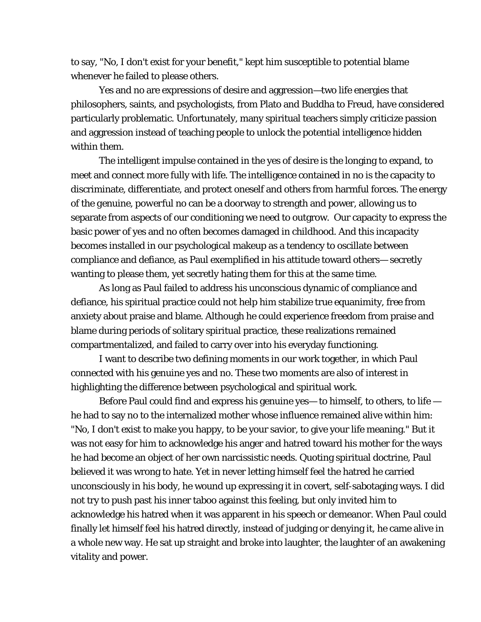to say, "No, I don't exist for your benefit," kept him susceptible to potential blame whenever he failed to please others.

*Yes* and *no* are expressions of desire and aggression—two life energies that philosophers, saints, and psychologists, from Plato and Buddha to Freud, have considered particularly problematic. Unfortunately, many spiritual teachers simply criticize passion and aggression instead of teaching people to unlock the potential intelligence hidden within them.

The intelligent impulse contained in the yes of desire is the longing to expand, to meet and connect more fully with life. The intelligence contained in no is the capacity to discriminate, differentiate, and protect oneself and others from harmful forces. The energy of the *genuine, powerful no* can be a doorway to strength and power, allowing us to separate from aspects of our conditioning we need to outgrow. Our capacity to express the basic power of yes and no often becomes damaged in childhood. And this incapacity becomes installed in our psychological makeup as a tendency to oscillate between compliance and defiance, as Paul exemplified in his attitude toward others— secretly wanting to please them, yet secretly hating them for this at the same time.

As long as Paul failed to address his unconscious dynamic of compliance and defiance, his spiritual practice could not help him stabilize true equanimity, free from anxiety about praise and blame. Although he could experience freedom from praise and blame during periods of solitary spiritual practice, these realizations remained compartmentalized, and failed to carry over into his everyday functioning.

I want to describe two defining moments in our work together, in which Paul connected with his genuine yes and no. These two moments are also of interest in highlighting the difference between psychological and spiritual work.

Before Paul could find and express his genuine yes— to himself, to others, to life he had to say no to the internalized mother whose influence remained alive within him: "No, I don't exist to make you happy, to be your savior, to give your life meaning." But it was not easy for him to acknowledge his anger and hatred toward his mother for the ways he had become an object of her own narcissistic needs. Quoting spiritual doctrine, Paul believed it was wrong to hate. Yet in never letting himself feel the hatred he carried unconsciously in his body, he wound up expressing it in covert, self-sabotaging ways. I did not try to push past his inner taboo against this feeling, but only invited him to acknowledge his hatred when it was apparent in his speech or demeanor. When Paul could finally let himself feel his hatred directly, instead of judging or denying it, he came alive in a whole new way. He sat up straight and broke into laughter, the laughter of an awakening vitality and power.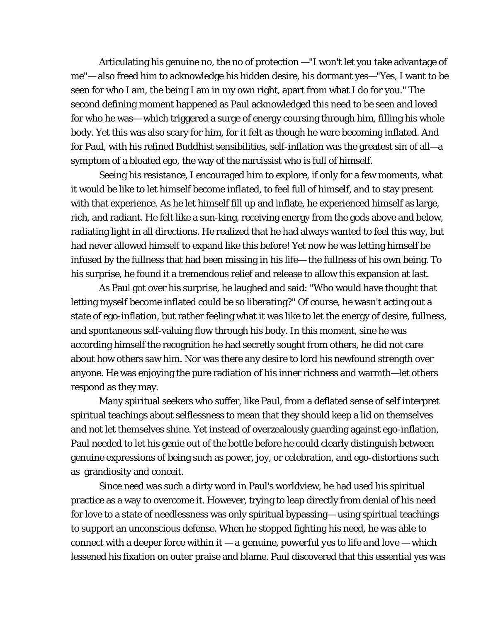Articulating his genuine no, the no of protection —"I won't let you take advantage of me"— also freed him to acknowledge his hidden desire, his dormant yes—"Yes, I want to be seen for who I am, the being I am in my own right, apart from what I do for you." The second defining moment happened as Paul acknowledged this need to be seen and loved for who he was— which triggered a surge of energy coursing through him, filling his whole body. Yet this was also scary for him, for it felt as though he were becoming inflated. And for Paul, with his refined Buddhist sensibilities, self-inflation was the greatest sin of all—a symptom of a bloated ego, the way of the narcissist who is full of himself.

Seeing his resistance, I encouraged him to explore, if only for a few moments, what it would be like to let himself become inflated, to feel full of himself, and to stay present with that experience. As he let himself fill up and inflate, he experienced himself as large, rich, and radiant. He felt like a sun-king, receiving energy from the gods above and below, radiating light in all directions. He realized that he had always wanted to feel this way, but had never allowed himself to expand like this before! Yet now he was letting himself be infused by the fullness that had been missing in his life— the fullness of his own being. To his surprise, he found it a tremendous relief and release to allow this expansion at last.

As Paul got over his surprise, he laughed and said: "Who would have thought that letting myself become inflated could be so liberating?" Of course, he wasn't acting out a state of ego-inflation, but rather feeling what it was like to let the energy of desire, fullness, and spontaneous self-valuing flow through his body. In this moment, sine he was according himself the recognition he had secretly sought from others, he did not care about how others saw him. Nor was there any desire to lord his newfound strength over anyone. He was enjoying the pure radiation of his inner richness and warmth—let others respond as they may.

Many spiritual seekers who suffer, like Paul, from a deflated sense of self interpret spiritual teachings about selflessness to mean that they should keep a lid on themselves and not let themselves shine. Yet instead of overzealously guarding against ego-inflation, Paul needed to let his genie out of the bottle before he could clearly distinguish between genuine expressions of being such as power, joy, or celebration, and ego-distortions such as grandiosity and conceit.

Since *need* was such a dirty word in Paul's worldview, he had used his spiritual practice as a way to overcome it. However, trying to leap directly from denial of his need for love to a state of needlessness was only spiritual bypassing— using spiritual teachings to support an unconscious defense. When he stopped fighting his need, he was able to connect with a deeper force within it — *a genuine, powerful yes to life and love —* which lessened his fixation on outer praise and blame. Paul discovered that this essential yes was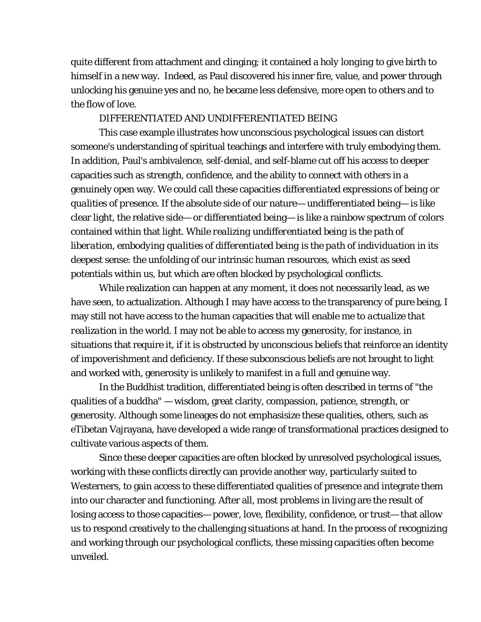quite different from attachment and clinging; it contained a *holy longing* to give birth to himself in a new way. Indeed, as Paul discovered his inner fire, value, and power through unlocking his genuine yes and no, he became less defensive, more open to others and to the flow of love.

## DIFFERENTIATED AND UNDIFFERENTIATED BEING

This case example illustrates how unconscious psychological issues can distort someone's understanding of spiritual teachings and interfere with truly embodying them. In addition, Paul's ambivalence, self-denial, and self-blame cut off his access to deeper capacities such as strength, confidence, and the ability to connect with others in a genuinely open way. We could call these capacities *differentiated expressions of being or qualities of presence*. If the absolute side of our nature— undifferentiated being— is like clear light, the relative side— or differentiated being— is like a rainbow spectrum of colors contained within that light. *While realizing undifferentiated being is the path of liberation, embodying qualities of differentiated being is the path of individuation* in its deepest sense: the unfolding of our intrinsic human resources, which exist as seed potentials within us, but which are often blocked by psychological conflicts.

While realization can happen at any moment, it does not necessarily lead, as we have seen, to actualization. Although I may have access to the transparency of pure being, I may still not have access to the human capacities that will enable me to *actualize that realization* in the world. I may not be able to access my generosity, for instance, in situations that require it, if it is obstructed by unconscious beliefs that reinforce an identity of impoverishment and deficiency. If these subconscious beliefs are not brought to light and worked with, generosity is unlikely to manifest in a full and genuine way.

In the Buddhist tradition, differentiated being is often described in terms of "the qualities of a buddha" — wisdom, great clarity, compassion, patience, strength, or generosity. Although some lineages do not emphasisize these qualities, others, such as eTibetan Vajrayana, have developed a wide range of transformational practices designed to cultivate various aspects of them.

Since these deeper capacities are often blocked by unresolved psychological issues, working with these conflicts directly can provide another way, particularly suited to Westerners, to gain access to these differentiated qualities of presence and integrate them into our character and functioning. After all, most problems in living are the result of losing access to those capacities— power, love, flexibility, confidence, or trust— that allow us to respond creatively to the challenging situations at hand. In the process of recognizing and working through our psychological conflicts, these missing capacities often become unveiled.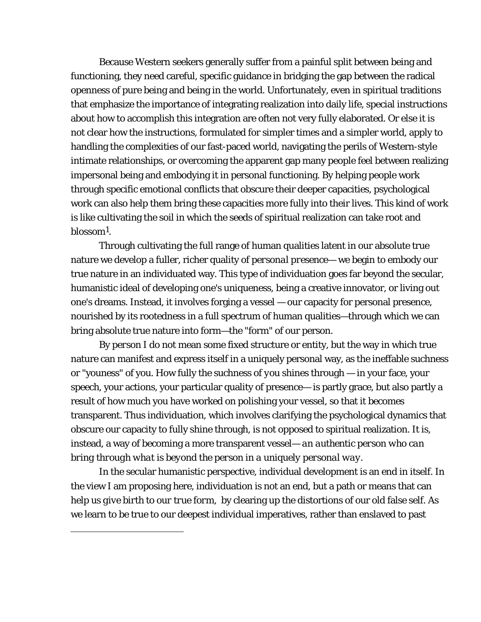Because Western seekers generally suffer from a painful split between being and functioning, they need careful, specific guidance in bridging the gap between the radical openness of pure being and being in the world. Unfortunately, even in spiritual traditions that emphasize the importance of integrating realization into daily life, special instructions about how to accomplish this integration are often not very fully elaborated. Or else it is not clear how the instructions, formulated for simpler times and a simpler world, apply to handling the complexities of our fast-paced world, navigating the perils of Western-style intimate relationships, or overcoming the apparent gap many people feel between realizing impersonal being and embodying it in personal functioning. By helping people work through specific emotional conflicts that obscure their deeper capacities, psychological work can also help them bring these capacities more fully into their lives. This kind of work is like cultivating the soil in which the seeds of spiritual realization can take root and blossom[1.](#page-10-0) 

Through cultivating the full range of human qualities latent in our absolute true nature we develop a fuller, richer quality of *personal presence—* we begin to embody our true nature in an individuated way. This type of individuation goes far beyond the secular, humanistic ideal of developing one's uniqueness, being a creative innovator, or living out one's dreams. Instead, it involves forging a vessel — our capacity for personal presence, nourished by its rootedness in a full spectrum of human qualities—through which we can bring absolute true nature into form—the "form" of our person.

By *person* I do not mean some fixed structure or entity, but the way in which true nature can manifest and express itself in a uniquely personal way, as the ineffable suchness or "youness" of you. How fully the suchness of *you* shines through — in your face, your speech, your actions, your particular quality of presence— is partly grace, but also partly a result of how much you have worked on polishing your vessel, so that it becomes transparent. Thus individuation, which involves clarifying the psychological dynamics that obscure our capacity to fully shine through, is not opposed to spiritual realization. It is, instead, a way of becoming a more transparent vessel— *an authentic person who can bring through what is beyond the person in a uniquely personal way*.

In the secular humanistic perspective, individual development is an end in itself. In the view I am proposing here, individuation is not an end, but a path or means that can help us *give birth to our true form,* by clearing up the distortions of our old false self*.* As we learn to be true to our deepest individual imperatives, rather than enslaved to past

<span id="page-10-0"></span> $\overline{a}$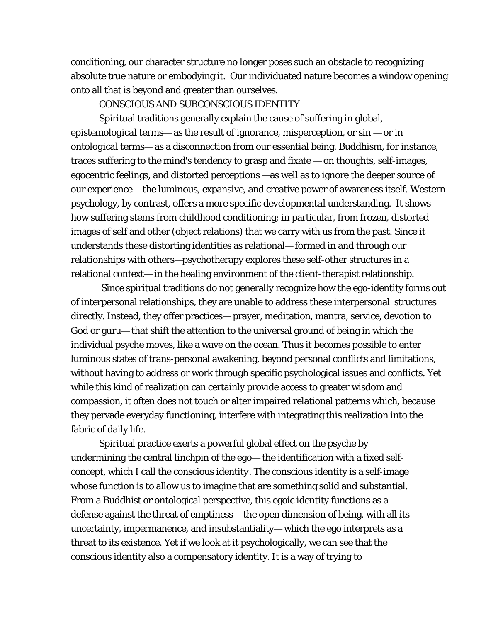conditioning, our character structure no longer poses such an obstacle to recognizing absolute true nature or embodying it. Our individuated nature becomes a window opening onto all that is beyond and greater than ourselves.

## CONSCIOUS AND SUBCONSCIOUS IDENTITY

Spiritual traditions generally explain the cause of suffering in global, *epistemological* terms— as the result of ignorance, misperception, or sin — or in *ontological* terms— as a disconnection from our essential being. Buddhism, for instance, traces suffering to the mind's tendency to grasp and fixate — on thoughts, self-images, egocentric feelings, and distorted perceptions —as well as to ignore the deeper source of our experience— the luminous, expansive, and creative power of awareness itself. Western psychology, by contrast, offers a more specific *developmental* understanding. It shows how suffering stems from childhood conditioning; in particular, from frozen, distorted images of self and other (object relations) that we carry with us from the past. Since it understands these distorting identities as relational— formed in and through our relationships with others—psychotherapy explores these self-other structures in a relational context— in the healing environment of the client-therapist relationship.

 Since spiritual traditions do not generally recognize how the ego-identity forms out of interpersonal relationships, they are unable to address these interpersonal structures directly. Instead, they offer practices— prayer, meditation, mantra, service, devotion to God or guru— that shift the attention to the universal ground of being in which the individual psyche moves, like a wave on the ocean. Thus it becomes possible to enter luminous states of trans-personal awakening, beyond personal conflicts and limitations, without having to address or work through specific psychological issues and conflicts. Yet while this kind of realization can certainly provide access to greater wisdom and compassion, it often does not touch or alter impaired relational patterns which, because they pervade everyday functioning, interfere with integrating this realization into the fabric of daily life.

Spiritual practice exerts a powerful global effect on the psyche by undermining the central linchpin of the ego— the identification with a fixed selfconcept, which I call the *conscious identity*. The conscious identity is a self-image whose function is to allow us to imagine that are something solid and substantial. From a Buddhist or ontological perspective, this egoic identity functions as a defense against the threat of emptiness— the open dimension of being, with all its uncertainty, impermanence, and insubstantiality— which the ego interprets as a threat to its existence. Yet if we look at it psychologically, we can see that the conscious identity also a compensatory identity. It is a way of trying to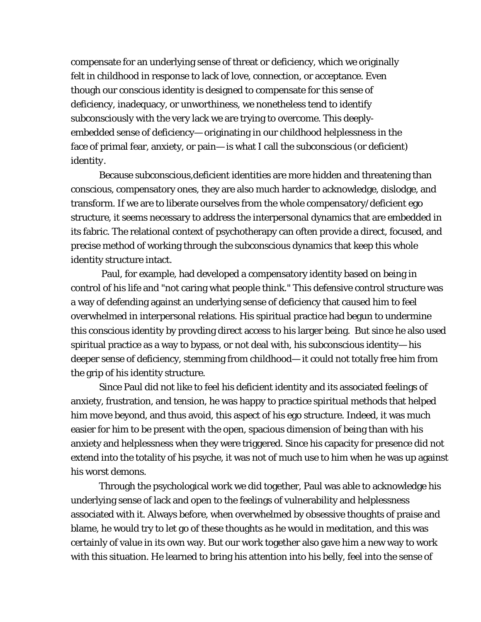compensate for an underlying sense of threat or deficiency, which we originally felt in childhood in response to lack of love, connection, or acceptance. Even though our conscious identity is designed to compensate for this sense of deficiency, inadequacy, or unworthiness, we nonetheless tend to identify subconsciously with the very lack we are trying to overcome. This deeplyembedded sense of deficiency— originating in our childhood helplessness in the face of primal fear, anxiety, or pain— is what I call the *subconscious (*or *deficient) identity.*

Because subconscious,deficient identities are more hidden and threatening than conscious, compensatory ones, they are also much harder to acknowledge, dislodge, and transform. If we are to liberate ourselves from the whole compensatory/deficient ego structure, it seems necessary to address the interpersonal dynamics that are embedded in its fabric. The relational context of psychotherapy can often provide a direct, focused, and precise method of working through the subconscious dynamics that keep this whole identity structure intact.

 Paul, for example, had developed a compensatory identity based on being in control of his life and "not caring what people think." This defensive control structure was a way of defending against an underlying sense of deficiency that caused him to feel overwhelmed in interpersonal relations. His spiritual practice had begun to undermine this conscious identity by provding direct access to his larger being. But since he also used spiritual practice as a way to bypass, or not deal with, his subconscious identity— his deeper sense of deficiency, stemming from childhood— it could not totally free him from the grip of his identity structure.

Since Paul did not like to feel his deficient identity and its associated feelings of anxiety, frustration, and tension, he was happy to practice spiritual methods that helped him move beyond, and thus avoid, this aspect of his ego structure. Indeed, it was much easier for him to be present with the open, spacious dimension of being than with his anxiety and helplessness when they were triggered. Since his capacity for presence did not extend into the totality of his psyche, it was not of much use to him when he was up against his worst demons.

Through the psychological work we did together, Paul was able to acknowledge his underlying sense of lack and open to the feelings of vulnerability and helplessness associated with it. Always before, when overwhelmed by obsessive thoughts of praise and blame, he would try to let go of these thoughts as he would in meditation, and this was certainly of value in its own way. But our work together also gave him a new way to work with this situation. He learned to bring his attention into his belly, feel into the sense of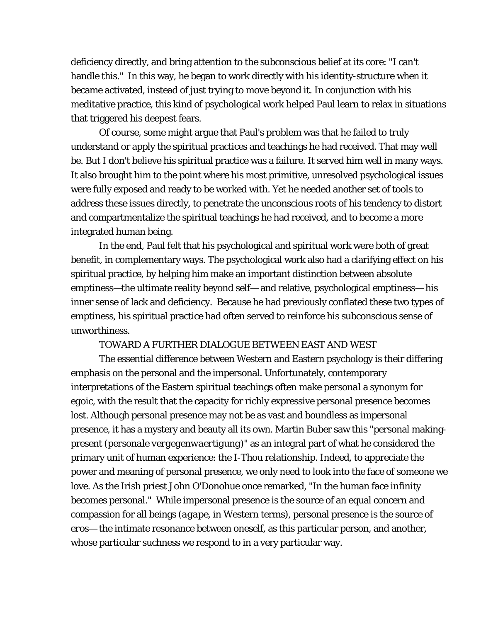deficiency directly, and bring attention to the subconscious belief at its core: "I can't handle this." In this way, he began to work directly with his identity-structure when it became activated, instead of just trying to move beyond it. In conjunction with his meditative practice, this kind of psychological work helped Paul learn to relax in situations that triggered his deepest fears.

Of course, some might argue that Paul's problem was that he failed to truly understand or apply the spiritual practices and teachings he had received. That may well be. But I don't believe his spiritual practice was a failure. It served him well in many ways. It also brought him to the point where his most primitive, unresolved psychological issues were fully exposed and ready to be worked with. Yet he needed another set of tools to address these issues directly, to penetrate the unconscious roots of his tendency to distort and compartmentalize the spiritual teachings he had received, and to become a more integrated human being.

In the end, Paul felt that his psychological and spiritual work were both of great benefit, in complementary ways. The psychological work also had a clarifying effect on his spiritual practice, by helping him make an important distinction between absolute emptiness—the ultimate reality beyond self— and relative, psychological emptiness— his inner sense of lack and deficiency. Because he had previously conflated these two types of emptiness, his spiritual practice had often served to reinforce his subconscious sense of unworthiness.

### TOWARD A FURTHER DIALOGUE BETWEEN EAST AND WEST

The essential difference between Western and Eastern psychology is their differing emphasis on the personal and the impersonal. Unfortunately, contemporary interpretations of the Eastern spiritual teachings often make *personal* a synonym for *egoic*, with the result that the capacity for richly expressive personal presence becomes lost. Although personal presence may not be as vast and boundless as impersonal presence, it has a mystery and beauty all its own. Martin Buber saw this "personal makingpresent (*personale vergegenwaertigung*)" as an integral part of what he considered the primary unit of human experience: the I-Thou relationship. Indeed, to appreciate the power and meaning of personal presence, we only need to look into the face of someone we love. As the Irish priest John O'Donohue once remarked, "In the human face infinity becomes personal." While impersonal presence is the source of an equal concern and compassion for all beings (*agape*, in Western terms), personal presence is the source of *eros*— the intimate resonance between oneself, as this particular person, and another, whose particular suchness we respond to in a very particular way.